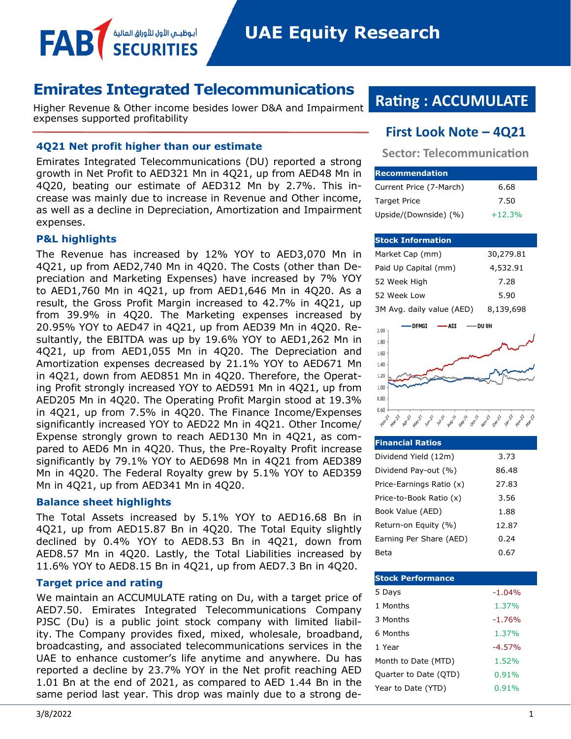## **Emirates Integrated Telecommunications**

Higher Revenue & Other income besides lower D&A and Impairment expenses supported profitability

### **4Q21 Net profit higher than our estimate**

أبوظبــي الأول للأوراق المالية

Emirates Integrated Telecommunications (DU) reported a strong growth in Net Profit to AED321 Mn in 4Q21, up from AED48 Mn in 4Q20, beating our estimate of AED312 Mn by 2.7%. This increase was mainly due to increase in Revenue and Other income, as well as a decline in Depreciation, Amortization and Impairment expenses.

#### **P&L highlights**

FAB

The Revenue has increased by 12% YOY to AED3,070 Mn in 4Q21, up from AED2,740 Mn in 4Q20. The Costs (other than Depreciation and Marketing Expenses) have increased by 7% YOY to AED1,760 Mn in 4Q21, up from AED1,646 Mn in 4Q20. As a result, the Gross Profit Margin increased to 42.7% in 4Q21, up from 39.9% in 4Q20. The Marketing expenses increased by 20.95% YOY to AED47 in 4Q21, up from AED39 Mn in 4Q20. Resultantly, the EBITDA was up by 19.6% YOY to AED1,262 Mn in 4Q21, up from AED1,055 Mn in 4Q20. The Depreciation and Amortization expenses decreased by 21.1% YOY to AED671 Mn in 4Q21, down from AED851 Mn in 4Q20. Therefore, the Operating Profit strongly increased YOY to AED591 Mn in 4Q21, up from AED205 Mn in 4Q20. The Operating Profit Margin stood at 19.3% in 4Q21, up from 7.5% in 4Q20. The Finance Income/Expenses significantly increased YOY to AED22 Mn in 4Q21. Other Income/ Expense strongly grown to reach AED130 Mn in 4Q21, as compared to AED6 Mn in 4Q20. Thus, the Pre-Royalty Profit increase significantly by 79.1% YOY to AED698 Mn in 4Q21 from AED389 Mn in 4Q20. The Federal Royalty grew by 5.1% YOY to AED359 Mn in 4Q21, up from AED341 Mn in 4Q20.

#### **Balance sheet highlights**

The Total Assets increased by 5.1% YOY to AED16.68 Bn in 4Q21, up from AED15.87 Bn in 4Q20. The Total Equity slightly declined by 0.4% YOY to AED8.53 Bn in 4Q21, down from AED8.57 Mn in 4Q20. Lastly, the Total Liabilities increased by 11.6% YOY to AED8.15 Bn in 4Q21, up from AED7.3 Bn in 4Q20.

#### **Target price and rating**

We maintain an ACCUMULATE rating on Du, with a target price of AED7.50. Emirates Integrated Telecommunications Company PJSC (Du) is a public joint stock company with limited liability. The Company provides fixed, mixed, wholesale, broadband, broadcasting, and associated telecommunications services in the UAE to enhance customer's life anytime and anywhere. Du has reported a decline by 23.7% YOY in the Net profit reaching AED 1.01 Bn at the end of 2021, as compared to AED 1.44 Bn in the same period last year. This drop was mainly due to a strong de-

## **First Look Note – 4Q21**

**Rating : ACCUMULATE**

#### **Sector: Telecommunication**

| <b>Recommendation</b>   |          |
|-------------------------|----------|
| Current Price (7-March) | 6.68     |
| <b>Target Price</b>     | 7.50     |
| Upside/(Downside) (%)   | $+12.3%$ |

#### **Stock Information**

| Market Cap (mm)           | 30,279.81 |
|---------------------------|-----------|
| Paid Up Capital (mm)      | 4,532.91  |
| 52 Week High              | 7.28      |
| 52 Week Low               | 5.90      |
| 3M Avg. daily value (AED) | 8,139,698 |



| <b>Financial Ratios</b>  |       |
|--------------------------|-------|
| Dividend Yield (12m)     | 3.73  |
| Dividend Pay-out (%)     | 86.48 |
| Price-Earnings Ratio (x) | 27.83 |
| Price-to-Book Ratio (x)  | 3.56  |
| Book Value (AED)         | 1.88  |
| Return-on Equity (%)     | 12.87 |
| Earning Per Share (AED)  | 0.24  |
| Beta                     | 0.67  |

| <b>Stock Performance</b> |          |
|--------------------------|----------|
| 5 Days                   | $-1.04%$ |
| 1 Months                 | 1.37%    |
| 3 Months                 | $-1.76%$ |
| 6 Months                 | 1.37%    |
| 1 Year                   | $-4.57%$ |
| Month to Date (MTD)      | 1.52%    |
| Quarter to Date (QTD)    | 0.91%    |
| Year to Date (YTD)       | $0.91\%$ |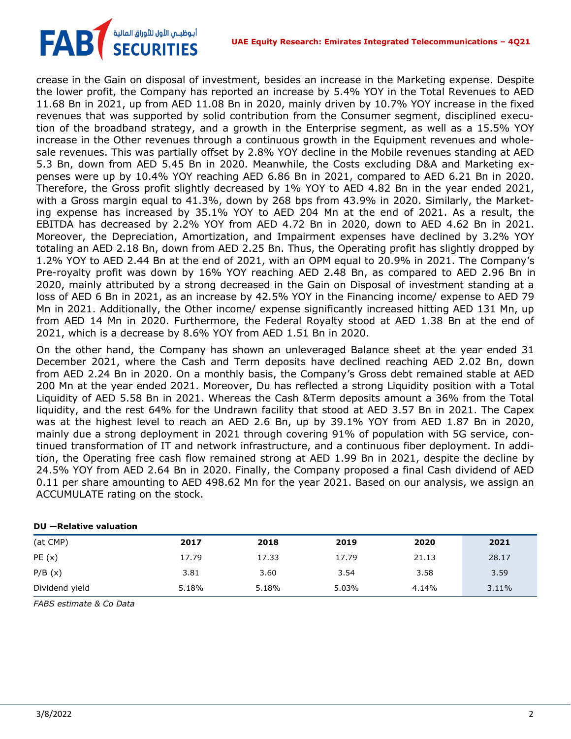#### **UAE Equity Research: Emirates Integrated Telecommunications – 4Q21**

## أبوظبـي الأول للأوراق المالية<br>SECURITIES **FAB**

crease in the Gain on disposal of investment, besides an increase in the Marketing expense. Despite the lower profit, the Company has reported an increase by 5.4% YOY in the Total Revenues to AED 11.68 Bn in 2021, up from AED 11.08 Bn in 2020, mainly driven by 10.7% YOY increase in the fixed revenues that was supported by solid contribution from the Consumer segment, disciplined execution of the broadband strategy, and a growth in the Enterprise segment, as well as a 15.5% YOY increase in the Other revenues through a continuous growth in the Equipment revenues and wholesale revenues. This was partially offset by 2.8% YOY decline in the Mobile revenues standing at AED 5.3 Bn, down from AED 5.45 Bn in 2020. Meanwhile, the Costs excluding D&A and Marketing expenses were up by 10.4% YOY reaching AED 6.86 Bn in 2021, compared to AED 6.21 Bn in 2020. Therefore, the Gross profit slightly decreased by 1% YOY to AED 4.82 Bn in the year ended 2021, with a Gross margin equal to 41.3%, down by 268 bps from 43.9% in 2020. Similarly, the Marketing expense has increased by 35.1% YOY to AED 204 Mn at the end of 2021. As a result, the EBITDA has decreased by 2.2% YOY from AED 4.72 Bn in 2020, down to AED 4.62 Bn in 2021. Moreover, the Depreciation, Amortization, and Impairment expenses have declined by 3.2% YOY totaling an AED 2.18 Bn, down from AED 2.25 Bn. Thus, the Operating profit has slightly dropped by 1.2% YOY to AED 2.44 Bn at the end of 2021, with an OPM equal to 20.9% in 2021. The Company's Pre-royalty profit was down by 16% YOY reaching AED 2.48 Bn, as compared to AED 2.96 Bn in 2020, mainly attributed by a strong decreased in the Gain on Disposal of investment standing at a loss of AED 6 Bn in 2021, as an increase by 42.5% YOY in the Financing income/ expense to AED 79 Mn in 2021. Additionally, the Other income/ expense significantly increased hitting AED 131 Mn, up from AED 14 Mn in 2020. Furthermore, the Federal Royalty stood at AED 1.38 Bn at the end of 2021, which is a decrease by 8.6% YOY from AED 1.51 Bn in 2020.

On the other hand, the Company has shown an unleveraged Balance sheet at the year ended 31 December 2021, where the Cash and Term deposits have declined reaching AED 2.02 Bn, down from AED 2.24 Bn in 2020. On a monthly basis, the Company's Gross debt remained stable at AED 200 Mn at the year ended 2021. Moreover, Du has reflected a strong Liquidity position with a Total Liquidity of AED 5.58 Bn in 2021. Whereas the Cash &Term deposits amount a 36% from the Total liquidity, and the rest 64% for the Undrawn facility that stood at AED 3.57 Bn in 2021. The Capex was at the highest level to reach an AED 2.6 Bn, up by 39.1% YOY from AED 1.87 Bn in 2020, mainly due a strong deployment in 2021 through covering 91% of population with 5G service, continued transformation of IT and network infrastructure, and a continuous fiber deployment. In addition, the Operating free cash flow remained strong at AED 1.99 Bn in 2021, despite the decline by 24.5% YOY from AED 2.64 Bn in 2020. Finally, the Company proposed a final Cash dividend of AED 0.11 per share amounting to AED 498.62 Mn for the year 2021. Based on our analysis, we assign an ACCUMULATE rating on the stock.

| <u> DU — Reiative Valuation</u> |       |       |       |       |       |
|---------------------------------|-------|-------|-------|-------|-------|
| (at CMP)                        | 2017  | 2018  | 2019  | 2020  | 2021  |
| PE(x)                           | 17.79 | 17.33 | 17.79 | 21.13 | 28.17 |
| P/B(x)                          | 3.81  | 3.60  | 3.54  | 3.58  | 3.59  |
| Dividend yield                  | 5.18% | 5.18% | 5.03% | 4.14% | 3.11% |

#### **DU —Relative valuation**

*FABS estimate & Co Data*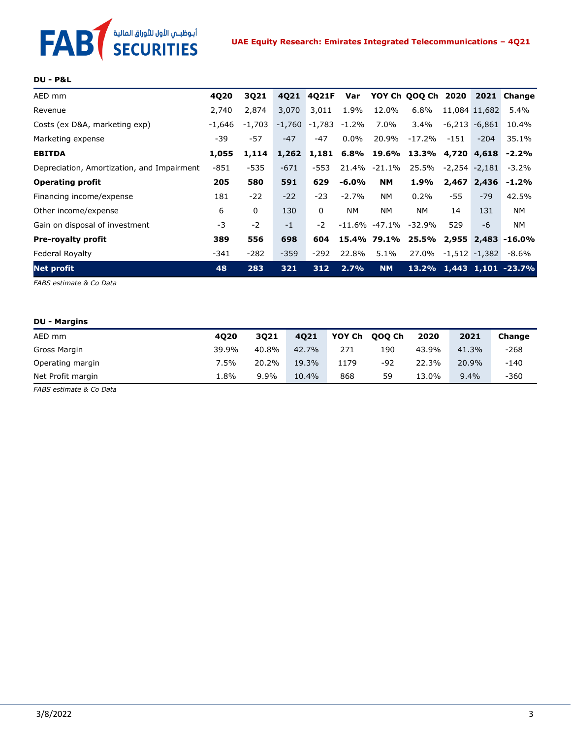# FAB<sup>T</sup> SECURITIES

#### **DU - P&L**

| AED mm                                     | 4Q20   | 3Q21     | 4021     | 4Q21F    | Var       |                           | YOY Ch QOQ Ch 2020           |        |                 | 2021 Change              |
|--------------------------------------------|--------|----------|----------|----------|-----------|---------------------------|------------------------------|--------|-----------------|--------------------------|
| Revenue                                    | 2,740  | 2,874    | 3,070    | 3,011    | 1.9%      | 12.0%                     | $6.8\%$                      |        | 11,084 11,682   | $5.4\%$                  |
| Costs (ex D&A, marketing exp)              | -1.646 | $-1,703$ | $-1.760$ | -1,783   | -1.2%     | 7.0%                      | 3.4%                         |        | $-6,213 -6,861$ | 10.4%                    |
| Marketing expense                          | -39    | $-57$    | $-47$    | $-47$    | $0.0\%$   | 20.9%                     | $-17.2\%$                    | $-151$ | $-204$          | 35.1%                    |
| <b>EBITDA</b>                              | 1,055  | 1,114    | 1,262    | 1,181    |           |                           | 6.8% 19.6% 13.3% 4,720 4,618 |        |                 | $-2.2%$                  |
| Depreciation, Amortization, and Impairment | $-851$ | $-535$   | $-671$   | -553     |           | 21.4% -21.1%              | $25.5\% -2.254 -2.181$       |        |                 | $-3.2\%$                 |
| <b>Operating profit</b>                    | 205    | 580      | 591      | 629      | $-6.0\%$  | NΜ                        | 1.9%                         |        | 2,467 2,436     | $-1.2%$                  |
| Financing income/expense                   | 181    | $-22$    | $-22$    | $-23$    | $-2.7%$   | NM.                       | 0.2%                         | -55    | $-79$           | 42.5%                    |
| Other income/expense                       | 6      | $\Omega$ | 130      | $\Omega$ | <b>NM</b> | NM.                       | <b>NM</b>                    | 14     | 131             | <b>NM</b>                |
| Gain on disposal of investment             | $-3$   | $-2$     | $-1$     | $-2$     |           | $-11.6\% -47.1\% -32.9\%$ |                              | 529    | $-6$            | <b>NM</b>                |
| <b>Pre-royalty profit</b>                  | 389    | 556      | 698      | 604      |           |                           | 15.4% 79.1% 25.5%            | 2,955  |                 | $2,483 - 16.0\%$         |
| Federal Royalty                            | $-341$ | $-282$   | $-359$   | $-292$   | 22.8%     | 5.1%                      | 27.0%                        |        | -1,512 -1,382   | -8.6%                    |
| <b>Net profit</b>                          | 48     | 283      | 321      | 312      | 2.7%      | <b>NM</b>                 |                              |        |                 | 13.2% 1,443 1,101 -23.7% |

*FABS estimate & Co Data*

#### **DU - Margins**

| AED mm            | 4020  | 3021  | 4021     | YOY Ch | 000 Ch | 2020  | 2021    | Change |
|-------------------|-------|-------|----------|--------|--------|-------|---------|--------|
| Gross Margin      | 39.9% | 40.8% | 42.7%    | 271    | 190    | 43.9% | 41.3%   | $-268$ |
| Operating margin  | 7.5%  | 20.2% | 19.3%    | 1179   | -92    | 22.3% | 20.9%   | $-140$ |
| Net Profit margin | 1.8%  | 9.9%  | $10.4\%$ | 868    | 59     | 13.0% | $9.4\%$ | $-360$ |

*FABS estimate & Co Data*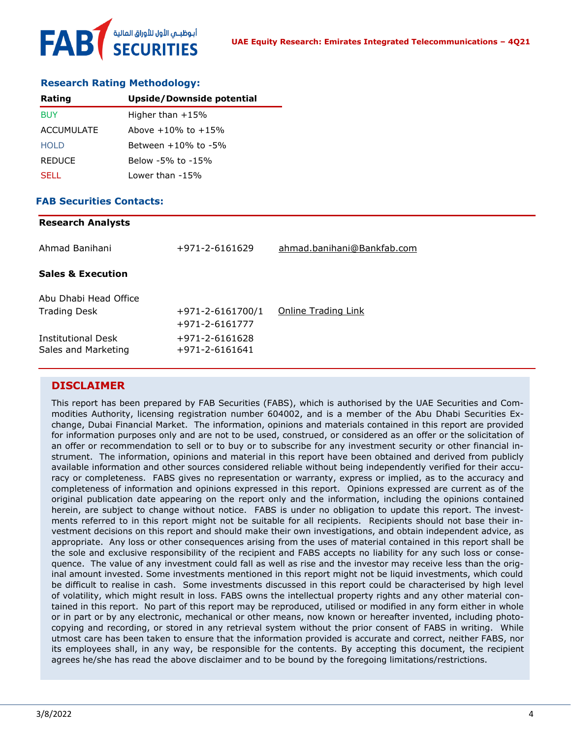

#### **Research Rating Methodology:**

| Rating        | Upside/Downside potential |
|---------------|---------------------------|
| BUY           | Higher than $+15%$        |
| ACCUMULATE    | Above $+10\%$ to $+15\%$  |
| <b>HOLD</b>   | Between $+10\%$ to $-5\%$ |
| <b>REDUCE</b> | Below -5% to -15%         |
| <b>SELL</b>   | Lower than -15%           |

#### **FAB Securities Contacts:**

**Research Analysts**

| Research Analysts                                |                                          |                            |
|--------------------------------------------------|------------------------------------------|----------------------------|
| Ahmad Banihani                                   | $+971 - 2 - 6161629$                     | ahmad.banihani@Bankfab.com |
| <b>Sales &amp; Execution</b>                     |                                          |                            |
| Abu Dhabi Head Office<br><b>Trading Desk</b>     | $+971 - 2 - 6161700/1$<br>+971-2-6161777 | Online Trading Link        |
| <b>Institutional Desk</b><br>Sales and Marketing | +971-2-6161628<br>+971-2-6161641         |                            |

#### **DISCLAIMER**

This report has been prepared by FAB Securities (FABS), which is authorised by the UAE Securities and Commodities Authority, licensing registration number 604002, and is a member of the Abu Dhabi Securities Exchange, Dubai Financial Market. The information, opinions and materials contained in this report are provided for information purposes only and are not to be used, construed, or considered as an offer or the solicitation of an offer or recommendation to sell or to buy or to subscribe for any investment security or other financial instrument. The information, opinions and material in this report have been obtained and derived from publicly available information and other sources considered reliable without being independently verified for their accuracy or completeness. FABS gives no representation or warranty, express or implied, as to the accuracy and completeness of information and opinions expressed in this report. Opinions expressed are current as of the original publication date appearing on the report only and the information, including the opinions contained herein, are subject to change without notice. FABS is under no obligation to update this report. The investments referred to in this report might not be suitable for all recipients. Recipients should not base their investment decisions on this report and should make their own investigations, and obtain independent advice, as appropriate. Any loss or other consequences arising from the uses of material contained in this report shall be the sole and exclusive responsibility of the recipient and FABS accepts no liability for any such loss or consequence. The value of any investment could fall as well as rise and the investor may receive less than the original amount invested. Some investments mentioned in this report might not be liquid investments, which could be difficult to realise in cash. Some investments discussed in this report could be characterised by high level of volatility, which might result in loss. FABS owns the intellectual property rights and any other material contained in this report. No part of this report may be reproduced, utilised or modified in any form either in whole or in part or by any electronic, mechanical or other means, now known or hereafter invented, including photocopying and recording, or stored in any retrieval system without the prior consent of FABS in writing. While utmost care has been taken to ensure that the information provided is accurate and correct, neither FABS, nor its employees shall, in any way, be responsible for the contents. By accepting this document, the recipient agrees he/she has read the above disclaimer and to be bound by the foregoing limitations/restrictions.